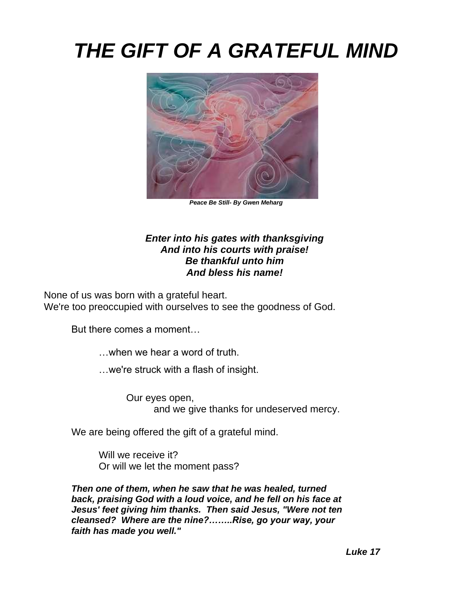## *THE GIFT OF A GRATEFUL MIND*



*Peace Be Still- By Gwen Meharg*

## *Enter into his gates with thanksgiving And into his courts with praise! Be thankful unto him And bless his name!*

None of us was born with a grateful heart. We're too preoccupied with ourselves to see the goodness of God.

But there comes a moment…

…when we hear a word of truth.

…we're struck with a flash of insight.

Our eyes open, and we give thanks for undeserved mercy.

We are being offered the gift of a grateful mind.

Will we receive it? Or will we let the moment pass?

*Then one of them, when he saw that he was healed, turned back, praising God with a loud voice, and he fell on his face at Jesus' feet giving him thanks. Then said Jesus, "Were not ten cleansed? Where are the nine?……..Rise, go your way, your faith has made you well."*